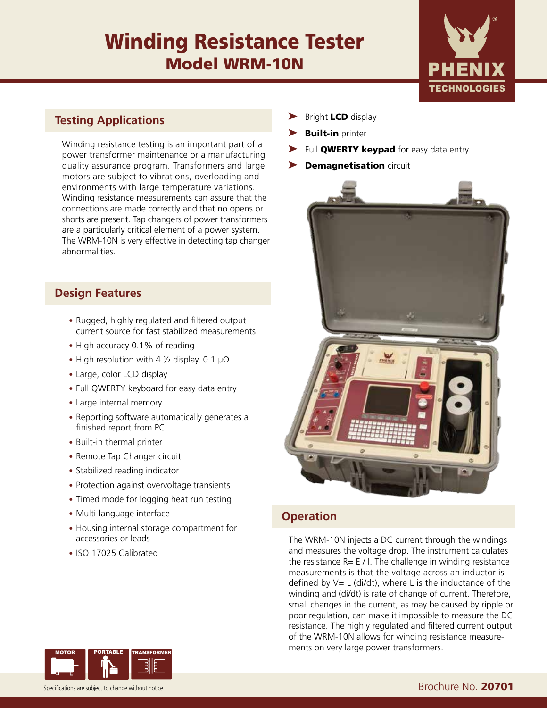# Winding Resistance Tester Model WRM-10N



#### **Testing Applications**

Winding resistance testing is an important part of a power transformer maintenance or a manufacturing quality assurance program. Transformers and large motors are subject to vibrations, overloading and environments with large temperature variations. Winding resistance measurements can assure that the connections are made correctly and that no opens or shorts are present. Tap changers of power transformers are a particularly critical element of a power system. The WRM-10N is very effective in detecting tap changer abnormalities.

#### **Design Features**

- Rugged, highly regulated and filtered output current source for fast stabilized measurements
- High accuracy 0.1% of reading
- High resolution with 4  $\frac{1}{2}$  display, 0.1  $\mu\Omega$
- Large, color LCD display
- Full QWERTY keyboard for easy data entry
- Large internal memory
- Reporting software automatically generates a finished report from PC
- Built-in thermal printer
- Remote Tap Changer circuit
- Stabilized reading indicator
- Protection against overvoltage transients
- Timed mode for logging heat run testing
- Multi-language interface
- Housing internal storage compartment for accessories or leads
- ISO 17025 Calibrated



- **Built-in** printer
- Full **QWERTY keypad** for easy data entry
- **Demagnetisation circuit**



### **Operation**

The WRM-10N injects a DC current through the windings and measures the voltage drop. The instrument calculates the resistance  $R = E / I$ . The challenge in winding resistance measurements is that the voltage across an inductor is defined by  $V= L$  (di/dt), where L is the inductance of the winding and (di/dt) is rate of change of current. Therefore, small changes in the current, as may be caused by ripple or poor regulation, can make it impossible to measure the DC resistance. The highly regulated and filtered current output of the WRM-10N allows for winding resistance measurements on very large power transformers.